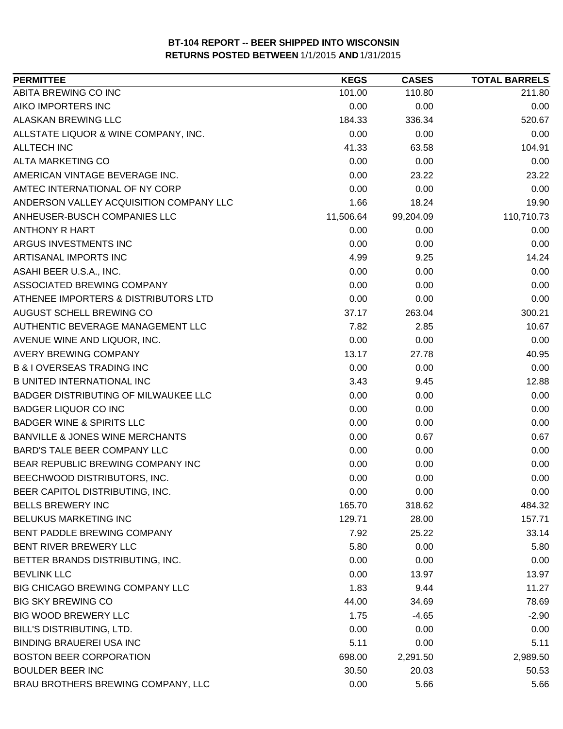| ABITA BREWING CO INC<br>101.00<br>110.80<br>211.80<br>AIKO IMPORTERS INC<br>0.00<br>0.00<br>0.00<br>ALASKAN BREWING LLC<br>184.33<br>336.34<br>520.67<br>ALLSTATE LIQUOR & WINE COMPANY, INC.<br>0.00<br>0.00<br>0.00<br>41.33<br>104.91<br>ALLTECH INC<br>63.58<br>0.00<br>0.00<br>ALTA MARKETING CO<br>0.00<br>AMERICAN VINTAGE BEVERAGE INC.<br>0.00<br>23.22<br>23.22<br>AMTEC INTERNATIONAL OF NY CORP<br>0.00<br>0.00<br>0.00<br>ANDERSON VALLEY ACQUISITION COMPANY LLC<br>1.66<br>18.24<br>19.90<br>11,506.64<br>ANHEUSER-BUSCH COMPANIES LLC<br>99,204.09<br>110,710.73<br><b>ANTHONY R HART</b><br>0.00<br>0.00<br>0.00<br>ARGUS INVESTMENTS INC<br>0.00<br>0.00<br>0.00<br>ARTISANAL IMPORTS INC<br>4.99<br>9.25<br>14.24<br>0.00<br>0.00<br>0.00<br>ASAHI BEER U.S.A., INC.<br>ASSOCIATED BREWING COMPANY<br>0.00<br>0.00<br>0.00<br>0.00<br>0.00<br>ATHENEE IMPORTERS & DISTRIBUTORS LTD<br>0.00<br>AUGUST SCHELL BREWING CO<br>37.17<br>263.04<br>300.21<br>7.82<br>2.85<br>AUTHENTIC BEVERAGE MANAGEMENT LLC<br>10.67<br>0.00<br>0.00<br>AVENUE WINE AND LIQUOR, INC.<br>0.00<br>AVERY BREWING COMPANY<br>13.17<br>27.78<br>40.95<br><b>B &amp; I OVERSEAS TRADING INC</b><br>0.00<br>0.00<br>0.00<br><b>B UNITED INTERNATIONAL INC</b><br>3.43<br>9.45<br>12.88<br>BADGER DISTRIBUTING OF MILWAUKEE LLC<br>0.00<br>0.00<br>0.00<br><b>BADGER LIQUOR CO INC</b><br>0.00<br>0.00<br>0.00<br><b>BADGER WINE &amp; SPIRITS LLC</b><br>0.00<br>0.00<br>0.00<br><b>BANVILLE &amp; JONES WINE MERCHANTS</b><br>0.00<br>0.67<br>0.67<br><b>BARD'S TALE BEER COMPANY LLC</b><br>0.00<br>0.00<br>0.00<br>BEAR REPUBLIC BREWING COMPANY INC<br>0.00<br>0.00<br>0.00<br>BEECHWOOD DISTRIBUTORS, INC.<br>0.00<br>0.00<br>0.00<br>BEER CAPITOL DISTRIBUTING, INC.<br>0.00<br>0.00<br>0.00<br><b>BELLS BREWERY INC</b><br>165.70<br>318.62<br>484.32<br>BELUKUS MARKETING INC<br>129.71<br>28.00<br>157.71<br>BENT PADDLE BREWING COMPANY<br>7.92<br>25.22<br>33.14<br>BENT RIVER BREWERY LLC<br>5.80<br>0.00<br>5.80<br>0.00<br>BETTER BRANDS DISTRIBUTING, INC.<br>0.00<br>0.00<br>0.00<br><b>BEVLINK LLC</b><br>13.97<br>13.97<br>BIG CHICAGO BREWING COMPANY LLC<br>1.83<br>9.44<br>11.27<br><b>BIG SKY BREWING CO</b><br>44.00<br>78.69<br>34.69<br><b>BIG WOOD BREWERY LLC</b><br>1.75<br>$-4.65$<br>$-2.90$<br>BILL'S DISTRIBUTING, LTD.<br>0.00<br>0.00<br>0.00<br><b>BINDING BRAUEREI USA INC</b><br>5.11<br>0.00<br>5.11<br><b>BOSTON BEER CORPORATION</b><br>698.00<br>2,291.50<br>2,989.50<br><b>BOULDER BEER INC</b><br>30.50<br>20.03<br>50.53<br>BRAU BROTHERS BREWING COMPANY, LLC<br>0.00<br>5.66<br>5.66 | <b>PERMITTEE</b> | <b>KEGS</b> | <b>CASES</b> | <b>TOTAL BARRELS</b> |
|-----------------------------------------------------------------------------------------------------------------------------------------------------------------------------------------------------------------------------------------------------------------------------------------------------------------------------------------------------------------------------------------------------------------------------------------------------------------------------------------------------------------------------------------------------------------------------------------------------------------------------------------------------------------------------------------------------------------------------------------------------------------------------------------------------------------------------------------------------------------------------------------------------------------------------------------------------------------------------------------------------------------------------------------------------------------------------------------------------------------------------------------------------------------------------------------------------------------------------------------------------------------------------------------------------------------------------------------------------------------------------------------------------------------------------------------------------------------------------------------------------------------------------------------------------------------------------------------------------------------------------------------------------------------------------------------------------------------------------------------------------------------------------------------------------------------------------------------------------------------------------------------------------------------------------------------------------------------------------------------------------------------------------------------------------------------------------------------------------------------------------------------------------------------------------------------------------------------------------------------------------------------------------------------------------------------------------------------------------------------------------------------------------------------------------------------------------------------------------------------------------------------------------------------------------------------------------------------------------------------------------|------------------|-------------|--------------|----------------------|
|                                                                                                                                                                                                                                                                                                                                                                                                                                                                                                                                                                                                                                                                                                                                                                                                                                                                                                                                                                                                                                                                                                                                                                                                                                                                                                                                                                                                                                                                                                                                                                                                                                                                                                                                                                                                                                                                                                                                                                                                                                                                                                                                                                                                                                                                                                                                                                                                                                                                                                                                                                                                                             |                  |             |              |                      |
|                                                                                                                                                                                                                                                                                                                                                                                                                                                                                                                                                                                                                                                                                                                                                                                                                                                                                                                                                                                                                                                                                                                                                                                                                                                                                                                                                                                                                                                                                                                                                                                                                                                                                                                                                                                                                                                                                                                                                                                                                                                                                                                                                                                                                                                                                                                                                                                                                                                                                                                                                                                                                             |                  |             |              |                      |
|                                                                                                                                                                                                                                                                                                                                                                                                                                                                                                                                                                                                                                                                                                                                                                                                                                                                                                                                                                                                                                                                                                                                                                                                                                                                                                                                                                                                                                                                                                                                                                                                                                                                                                                                                                                                                                                                                                                                                                                                                                                                                                                                                                                                                                                                                                                                                                                                                                                                                                                                                                                                                             |                  |             |              |                      |
|                                                                                                                                                                                                                                                                                                                                                                                                                                                                                                                                                                                                                                                                                                                                                                                                                                                                                                                                                                                                                                                                                                                                                                                                                                                                                                                                                                                                                                                                                                                                                                                                                                                                                                                                                                                                                                                                                                                                                                                                                                                                                                                                                                                                                                                                                                                                                                                                                                                                                                                                                                                                                             |                  |             |              |                      |
|                                                                                                                                                                                                                                                                                                                                                                                                                                                                                                                                                                                                                                                                                                                                                                                                                                                                                                                                                                                                                                                                                                                                                                                                                                                                                                                                                                                                                                                                                                                                                                                                                                                                                                                                                                                                                                                                                                                                                                                                                                                                                                                                                                                                                                                                                                                                                                                                                                                                                                                                                                                                                             |                  |             |              |                      |
|                                                                                                                                                                                                                                                                                                                                                                                                                                                                                                                                                                                                                                                                                                                                                                                                                                                                                                                                                                                                                                                                                                                                                                                                                                                                                                                                                                                                                                                                                                                                                                                                                                                                                                                                                                                                                                                                                                                                                                                                                                                                                                                                                                                                                                                                                                                                                                                                                                                                                                                                                                                                                             |                  |             |              |                      |
|                                                                                                                                                                                                                                                                                                                                                                                                                                                                                                                                                                                                                                                                                                                                                                                                                                                                                                                                                                                                                                                                                                                                                                                                                                                                                                                                                                                                                                                                                                                                                                                                                                                                                                                                                                                                                                                                                                                                                                                                                                                                                                                                                                                                                                                                                                                                                                                                                                                                                                                                                                                                                             |                  |             |              |                      |
|                                                                                                                                                                                                                                                                                                                                                                                                                                                                                                                                                                                                                                                                                                                                                                                                                                                                                                                                                                                                                                                                                                                                                                                                                                                                                                                                                                                                                                                                                                                                                                                                                                                                                                                                                                                                                                                                                                                                                                                                                                                                                                                                                                                                                                                                                                                                                                                                                                                                                                                                                                                                                             |                  |             |              |                      |
|                                                                                                                                                                                                                                                                                                                                                                                                                                                                                                                                                                                                                                                                                                                                                                                                                                                                                                                                                                                                                                                                                                                                                                                                                                                                                                                                                                                                                                                                                                                                                                                                                                                                                                                                                                                                                                                                                                                                                                                                                                                                                                                                                                                                                                                                                                                                                                                                                                                                                                                                                                                                                             |                  |             |              |                      |
|                                                                                                                                                                                                                                                                                                                                                                                                                                                                                                                                                                                                                                                                                                                                                                                                                                                                                                                                                                                                                                                                                                                                                                                                                                                                                                                                                                                                                                                                                                                                                                                                                                                                                                                                                                                                                                                                                                                                                                                                                                                                                                                                                                                                                                                                                                                                                                                                                                                                                                                                                                                                                             |                  |             |              |                      |
|                                                                                                                                                                                                                                                                                                                                                                                                                                                                                                                                                                                                                                                                                                                                                                                                                                                                                                                                                                                                                                                                                                                                                                                                                                                                                                                                                                                                                                                                                                                                                                                                                                                                                                                                                                                                                                                                                                                                                                                                                                                                                                                                                                                                                                                                                                                                                                                                                                                                                                                                                                                                                             |                  |             |              |                      |
|                                                                                                                                                                                                                                                                                                                                                                                                                                                                                                                                                                                                                                                                                                                                                                                                                                                                                                                                                                                                                                                                                                                                                                                                                                                                                                                                                                                                                                                                                                                                                                                                                                                                                                                                                                                                                                                                                                                                                                                                                                                                                                                                                                                                                                                                                                                                                                                                                                                                                                                                                                                                                             |                  |             |              |                      |
|                                                                                                                                                                                                                                                                                                                                                                                                                                                                                                                                                                                                                                                                                                                                                                                                                                                                                                                                                                                                                                                                                                                                                                                                                                                                                                                                                                                                                                                                                                                                                                                                                                                                                                                                                                                                                                                                                                                                                                                                                                                                                                                                                                                                                                                                                                                                                                                                                                                                                                                                                                                                                             |                  |             |              |                      |
|                                                                                                                                                                                                                                                                                                                                                                                                                                                                                                                                                                                                                                                                                                                                                                                                                                                                                                                                                                                                                                                                                                                                                                                                                                                                                                                                                                                                                                                                                                                                                                                                                                                                                                                                                                                                                                                                                                                                                                                                                                                                                                                                                                                                                                                                                                                                                                                                                                                                                                                                                                                                                             |                  |             |              |                      |
|                                                                                                                                                                                                                                                                                                                                                                                                                                                                                                                                                                                                                                                                                                                                                                                                                                                                                                                                                                                                                                                                                                                                                                                                                                                                                                                                                                                                                                                                                                                                                                                                                                                                                                                                                                                                                                                                                                                                                                                                                                                                                                                                                                                                                                                                                                                                                                                                                                                                                                                                                                                                                             |                  |             |              |                      |
|                                                                                                                                                                                                                                                                                                                                                                                                                                                                                                                                                                                                                                                                                                                                                                                                                                                                                                                                                                                                                                                                                                                                                                                                                                                                                                                                                                                                                                                                                                                                                                                                                                                                                                                                                                                                                                                                                                                                                                                                                                                                                                                                                                                                                                                                                                                                                                                                                                                                                                                                                                                                                             |                  |             |              |                      |
|                                                                                                                                                                                                                                                                                                                                                                                                                                                                                                                                                                                                                                                                                                                                                                                                                                                                                                                                                                                                                                                                                                                                                                                                                                                                                                                                                                                                                                                                                                                                                                                                                                                                                                                                                                                                                                                                                                                                                                                                                                                                                                                                                                                                                                                                                                                                                                                                                                                                                                                                                                                                                             |                  |             |              |                      |
|                                                                                                                                                                                                                                                                                                                                                                                                                                                                                                                                                                                                                                                                                                                                                                                                                                                                                                                                                                                                                                                                                                                                                                                                                                                                                                                                                                                                                                                                                                                                                                                                                                                                                                                                                                                                                                                                                                                                                                                                                                                                                                                                                                                                                                                                                                                                                                                                                                                                                                                                                                                                                             |                  |             |              |                      |
|                                                                                                                                                                                                                                                                                                                                                                                                                                                                                                                                                                                                                                                                                                                                                                                                                                                                                                                                                                                                                                                                                                                                                                                                                                                                                                                                                                                                                                                                                                                                                                                                                                                                                                                                                                                                                                                                                                                                                                                                                                                                                                                                                                                                                                                                                                                                                                                                                                                                                                                                                                                                                             |                  |             |              |                      |
|                                                                                                                                                                                                                                                                                                                                                                                                                                                                                                                                                                                                                                                                                                                                                                                                                                                                                                                                                                                                                                                                                                                                                                                                                                                                                                                                                                                                                                                                                                                                                                                                                                                                                                                                                                                                                                                                                                                                                                                                                                                                                                                                                                                                                                                                                                                                                                                                                                                                                                                                                                                                                             |                  |             |              |                      |
|                                                                                                                                                                                                                                                                                                                                                                                                                                                                                                                                                                                                                                                                                                                                                                                                                                                                                                                                                                                                                                                                                                                                                                                                                                                                                                                                                                                                                                                                                                                                                                                                                                                                                                                                                                                                                                                                                                                                                                                                                                                                                                                                                                                                                                                                                                                                                                                                                                                                                                                                                                                                                             |                  |             |              |                      |
|                                                                                                                                                                                                                                                                                                                                                                                                                                                                                                                                                                                                                                                                                                                                                                                                                                                                                                                                                                                                                                                                                                                                                                                                                                                                                                                                                                                                                                                                                                                                                                                                                                                                                                                                                                                                                                                                                                                                                                                                                                                                                                                                                                                                                                                                                                                                                                                                                                                                                                                                                                                                                             |                  |             |              |                      |
|                                                                                                                                                                                                                                                                                                                                                                                                                                                                                                                                                                                                                                                                                                                                                                                                                                                                                                                                                                                                                                                                                                                                                                                                                                                                                                                                                                                                                                                                                                                                                                                                                                                                                                                                                                                                                                                                                                                                                                                                                                                                                                                                                                                                                                                                                                                                                                                                                                                                                                                                                                                                                             |                  |             |              |                      |
|                                                                                                                                                                                                                                                                                                                                                                                                                                                                                                                                                                                                                                                                                                                                                                                                                                                                                                                                                                                                                                                                                                                                                                                                                                                                                                                                                                                                                                                                                                                                                                                                                                                                                                                                                                                                                                                                                                                                                                                                                                                                                                                                                                                                                                                                                                                                                                                                                                                                                                                                                                                                                             |                  |             |              |                      |
|                                                                                                                                                                                                                                                                                                                                                                                                                                                                                                                                                                                                                                                                                                                                                                                                                                                                                                                                                                                                                                                                                                                                                                                                                                                                                                                                                                                                                                                                                                                                                                                                                                                                                                                                                                                                                                                                                                                                                                                                                                                                                                                                                                                                                                                                                                                                                                                                                                                                                                                                                                                                                             |                  |             |              |                      |
|                                                                                                                                                                                                                                                                                                                                                                                                                                                                                                                                                                                                                                                                                                                                                                                                                                                                                                                                                                                                                                                                                                                                                                                                                                                                                                                                                                                                                                                                                                                                                                                                                                                                                                                                                                                                                                                                                                                                                                                                                                                                                                                                                                                                                                                                                                                                                                                                                                                                                                                                                                                                                             |                  |             |              |                      |
|                                                                                                                                                                                                                                                                                                                                                                                                                                                                                                                                                                                                                                                                                                                                                                                                                                                                                                                                                                                                                                                                                                                                                                                                                                                                                                                                                                                                                                                                                                                                                                                                                                                                                                                                                                                                                                                                                                                                                                                                                                                                                                                                                                                                                                                                                                                                                                                                                                                                                                                                                                                                                             |                  |             |              |                      |
|                                                                                                                                                                                                                                                                                                                                                                                                                                                                                                                                                                                                                                                                                                                                                                                                                                                                                                                                                                                                                                                                                                                                                                                                                                                                                                                                                                                                                                                                                                                                                                                                                                                                                                                                                                                                                                                                                                                                                                                                                                                                                                                                                                                                                                                                                                                                                                                                                                                                                                                                                                                                                             |                  |             |              |                      |
|                                                                                                                                                                                                                                                                                                                                                                                                                                                                                                                                                                                                                                                                                                                                                                                                                                                                                                                                                                                                                                                                                                                                                                                                                                                                                                                                                                                                                                                                                                                                                                                                                                                                                                                                                                                                                                                                                                                                                                                                                                                                                                                                                                                                                                                                                                                                                                                                                                                                                                                                                                                                                             |                  |             |              |                      |
|                                                                                                                                                                                                                                                                                                                                                                                                                                                                                                                                                                                                                                                                                                                                                                                                                                                                                                                                                                                                                                                                                                                                                                                                                                                                                                                                                                                                                                                                                                                                                                                                                                                                                                                                                                                                                                                                                                                                                                                                                                                                                                                                                                                                                                                                                                                                                                                                                                                                                                                                                                                                                             |                  |             |              |                      |
|                                                                                                                                                                                                                                                                                                                                                                                                                                                                                                                                                                                                                                                                                                                                                                                                                                                                                                                                                                                                                                                                                                                                                                                                                                                                                                                                                                                                                                                                                                                                                                                                                                                                                                                                                                                                                                                                                                                                                                                                                                                                                                                                                                                                                                                                                                                                                                                                                                                                                                                                                                                                                             |                  |             |              |                      |
|                                                                                                                                                                                                                                                                                                                                                                                                                                                                                                                                                                                                                                                                                                                                                                                                                                                                                                                                                                                                                                                                                                                                                                                                                                                                                                                                                                                                                                                                                                                                                                                                                                                                                                                                                                                                                                                                                                                                                                                                                                                                                                                                                                                                                                                                                                                                                                                                                                                                                                                                                                                                                             |                  |             |              |                      |
|                                                                                                                                                                                                                                                                                                                                                                                                                                                                                                                                                                                                                                                                                                                                                                                                                                                                                                                                                                                                                                                                                                                                                                                                                                                                                                                                                                                                                                                                                                                                                                                                                                                                                                                                                                                                                                                                                                                                                                                                                                                                                                                                                                                                                                                                                                                                                                                                                                                                                                                                                                                                                             |                  |             |              |                      |
|                                                                                                                                                                                                                                                                                                                                                                                                                                                                                                                                                                                                                                                                                                                                                                                                                                                                                                                                                                                                                                                                                                                                                                                                                                                                                                                                                                                                                                                                                                                                                                                                                                                                                                                                                                                                                                                                                                                                                                                                                                                                                                                                                                                                                                                                                                                                                                                                                                                                                                                                                                                                                             |                  |             |              |                      |
|                                                                                                                                                                                                                                                                                                                                                                                                                                                                                                                                                                                                                                                                                                                                                                                                                                                                                                                                                                                                                                                                                                                                                                                                                                                                                                                                                                                                                                                                                                                                                                                                                                                                                                                                                                                                                                                                                                                                                                                                                                                                                                                                                                                                                                                                                                                                                                                                                                                                                                                                                                                                                             |                  |             |              |                      |
|                                                                                                                                                                                                                                                                                                                                                                                                                                                                                                                                                                                                                                                                                                                                                                                                                                                                                                                                                                                                                                                                                                                                                                                                                                                                                                                                                                                                                                                                                                                                                                                                                                                                                                                                                                                                                                                                                                                                                                                                                                                                                                                                                                                                                                                                                                                                                                                                                                                                                                                                                                                                                             |                  |             |              |                      |
|                                                                                                                                                                                                                                                                                                                                                                                                                                                                                                                                                                                                                                                                                                                                                                                                                                                                                                                                                                                                                                                                                                                                                                                                                                                                                                                                                                                                                                                                                                                                                                                                                                                                                                                                                                                                                                                                                                                                                                                                                                                                                                                                                                                                                                                                                                                                                                                                                                                                                                                                                                                                                             |                  |             |              |                      |
|                                                                                                                                                                                                                                                                                                                                                                                                                                                                                                                                                                                                                                                                                                                                                                                                                                                                                                                                                                                                                                                                                                                                                                                                                                                                                                                                                                                                                                                                                                                                                                                                                                                                                                                                                                                                                                                                                                                                                                                                                                                                                                                                                                                                                                                                                                                                                                                                                                                                                                                                                                                                                             |                  |             |              |                      |
|                                                                                                                                                                                                                                                                                                                                                                                                                                                                                                                                                                                                                                                                                                                                                                                                                                                                                                                                                                                                                                                                                                                                                                                                                                                                                                                                                                                                                                                                                                                                                                                                                                                                                                                                                                                                                                                                                                                                                                                                                                                                                                                                                                                                                                                                                                                                                                                                                                                                                                                                                                                                                             |                  |             |              |                      |
|                                                                                                                                                                                                                                                                                                                                                                                                                                                                                                                                                                                                                                                                                                                                                                                                                                                                                                                                                                                                                                                                                                                                                                                                                                                                                                                                                                                                                                                                                                                                                                                                                                                                                                                                                                                                                                                                                                                                                                                                                                                                                                                                                                                                                                                                                                                                                                                                                                                                                                                                                                                                                             |                  |             |              |                      |
|                                                                                                                                                                                                                                                                                                                                                                                                                                                                                                                                                                                                                                                                                                                                                                                                                                                                                                                                                                                                                                                                                                                                                                                                                                                                                                                                                                                                                                                                                                                                                                                                                                                                                                                                                                                                                                                                                                                                                                                                                                                                                                                                                                                                                                                                                                                                                                                                                                                                                                                                                                                                                             |                  |             |              |                      |
|                                                                                                                                                                                                                                                                                                                                                                                                                                                                                                                                                                                                                                                                                                                                                                                                                                                                                                                                                                                                                                                                                                                                                                                                                                                                                                                                                                                                                                                                                                                                                                                                                                                                                                                                                                                                                                                                                                                                                                                                                                                                                                                                                                                                                                                                                                                                                                                                                                                                                                                                                                                                                             |                  |             |              |                      |
|                                                                                                                                                                                                                                                                                                                                                                                                                                                                                                                                                                                                                                                                                                                                                                                                                                                                                                                                                                                                                                                                                                                                                                                                                                                                                                                                                                                                                                                                                                                                                                                                                                                                                                                                                                                                                                                                                                                                                                                                                                                                                                                                                                                                                                                                                                                                                                                                                                                                                                                                                                                                                             |                  |             |              |                      |
|                                                                                                                                                                                                                                                                                                                                                                                                                                                                                                                                                                                                                                                                                                                                                                                                                                                                                                                                                                                                                                                                                                                                                                                                                                                                                                                                                                                                                                                                                                                                                                                                                                                                                                                                                                                                                                                                                                                                                                                                                                                                                                                                                                                                                                                                                                                                                                                                                                                                                                                                                                                                                             |                  |             |              |                      |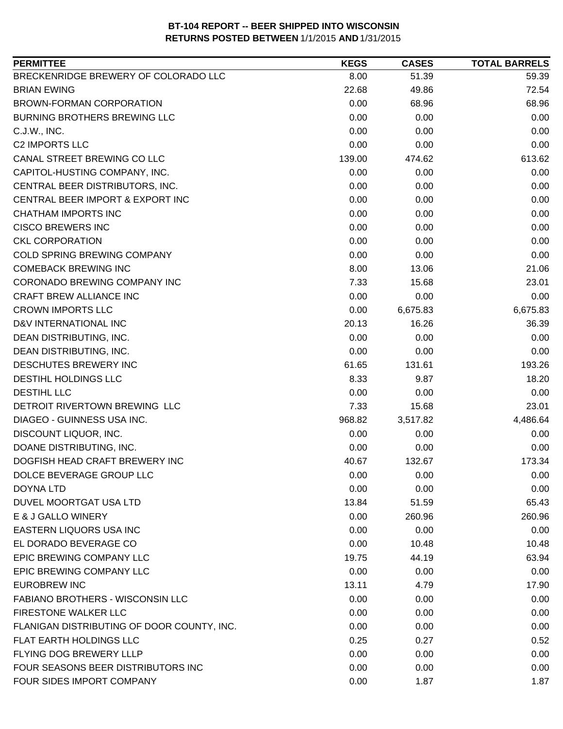| <b>PERMITTEE</b>                           | <b>KEGS</b> | <b>CASES</b> | <b>TOTAL BARRELS</b> |
|--------------------------------------------|-------------|--------------|----------------------|
| BRECKENRIDGE BREWERY OF COLORADO LLC       | 8.00        | 51.39        | 59.39                |
| <b>BRIAN EWING</b>                         | 22.68       | 49.86        | 72.54                |
| <b>BROWN-FORMAN CORPORATION</b>            | 0.00        | 68.96        | 68.96                |
| BURNING BROTHERS BREWING LLC               | 0.00        | 0.00         | 0.00                 |
| C.J.W., INC.                               | 0.00        | 0.00         | 0.00                 |
| <b>C2 IMPORTS LLC</b>                      | 0.00        | 0.00         | 0.00                 |
| CANAL STREET BREWING CO LLC                | 139.00      | 474.62       | 613.62               |
| CAPITOL-HUSTING COMPANY, INC.              | 0.00        | 0.00         | 0.00                 |
| CENTRAL BEER DISTRIBUTORS, INC.            | 0.00        | 0.00         | 0.00                 |
| CENTRAL BEER IMPORT & EXPORT INC           | 0.00        | 0.00         | 0.00                 |
| <b>CHATHAM IMPORTS INC</b>                 | 0.00        | 0.00         | 0.00                 |
| <b>CISCO BREWERS INC</b>                   | 0.00        | 0.00         | 0.00                 |
| <b>CKL CORPORATION</b>                     | 0.00        | 0.00         | 0.00                 |
| <b>COLD SPRING BREWING COMPANY</b>         | 0.00        | 0.00         | 0.00                 |
| <b>COMEBACK BREWING INC</b>                | 8.00        | 13.06        | 21.06                |
| CORONADO BREWING COMPANY INC               | 7.33        | 15.68        | 23.01                |
| CRAFT BREW ALLIANCE INC                    | 0.00        | 0.00         | 0.00                 |
| <b>CROWN IMPORTS LLC</b>                   | 0.00        | 6,675.83     | 6,675.83             |
| D&V INTERNATIONAL INC                      | 20.13       | 16.26        | 36.39                |
| DEAN DISTRIBUTING, INC.                    | 0.00        | 0.00         | 0.00                 |
| DEAN DISTRIBUTING, INC.                    | 0.00        | 0.00         | 0.00                 |
| DESCHUTES BREWERY INC                      | 61.65       | 131.61       | 193.26               |
| DESTIHL HOLDINGS LLC                       | 8.33        | 9.87         | 18.20                |
| DESTIHL LLC                                | 0.00        | 0.00         | 0.00                 |
| DETROIT RIVERTOWN BREWING LLC              | 7.33        | 15.68        | 23.01                |
| DIAGEO - GUINNESS USA INC.                 | 968.82      | 3,517.82     | 4,486.64             |
| DISCOUNT LIQUOR, INC.                      | 0.00        | 0.00         | 0.00                 |
| DOANE DISTRIBUTING, INC.                   | 0.00        | 0.00         | 0.00                 |
| DOGFISH HEAD CRAFT BREWERY INC             | 40.67       | 132.67       | 173.34               |
| DOLCE BEVERAGE GROUP LLC                   | 0.00        | 0.00         | 0.00                 |
| <b>DOYNA LTD</b>                           | 0.00        | 0.00         | 0.00                 |
| DUVEL MOORTGAT USA LTD                     | 13.84       | 51.59        | 65.43                |
| E & J GALLO WINERY                         | 0.00        | 260.96       | 260.96               |
| EASTERN LIQUORS USA INC                    | 0.00        | 0.00         | 0.00                 |
| EL DORADO BEVERAGE CO                      | 0.00        | 10.48        | 10.48                |
| EPIC BREWING COMPANY LLC                   | 19.75       | 44.19        | 63.94                |
| EPIC BREWING COMPANY LLC                   | 0.00        | 0.00         | 0.00                 |
| EUROBREW INC                               | 13.11       | 4.79         | 17.90                |
| FABIANO BROTHERS - WISCONSIN LLC           | 0.00        | 0.00         | 0.00                 |
| <b>FIRESTONE WALKER LLC</b>                | 0.00        | 0.00         | 0.00                 |
| FLANIGAN DISTRIBUTING OF DOOR COUNTY, INC. | 0.00        | 0.00         | 0.00                 |
| FLAT EARTH HOLDINGS LLC                    | 0.25        | 0.27         | 0.52                 |
| FLYING DOG BREWERY LLLP                    | 0.00        | 0.00         | 0.00                 |
| FOUR SEASONS BEER DISTRIBUTORS INC         | 0.00        | 0.00         | 0.00                 |
| FOUR SIDES IMPORT COMPANY                  | 0.00        | 1.87         | 1.87                 |
|                                            |             |              |                      |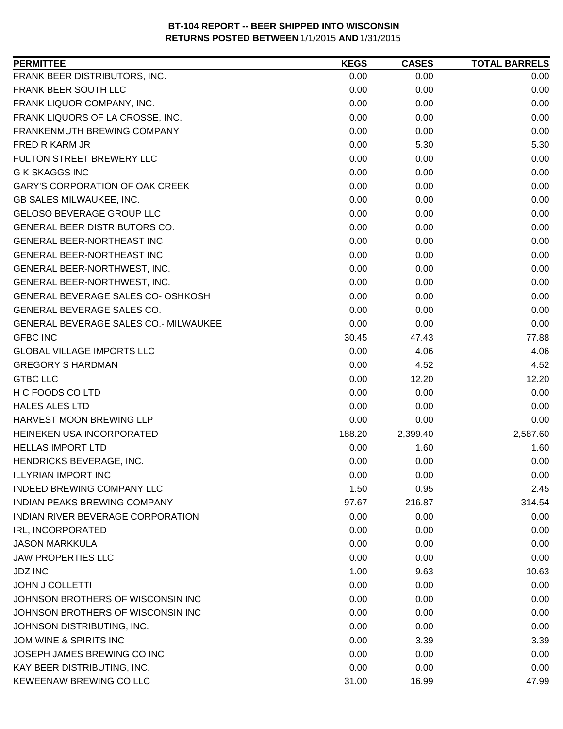| 0.00<br>0.00<br>0.00<br>0.00<br>0.00<br>0.00<br>0.00<br>0.00<br>0.00<br>0.00<br>0.00<br>0.00<br>0.00<br>0.00<br>0.00<br>0.00<br>5.30<br>5.30<br>0.00<br>0.00<br>0.00<br>0.00<br>0.00<br>0.00<br>0.00<br>0.00<br>0.00<br>0.00<br>0.00<br>0.00<br>0.00<br>0.00<br>0.00<br>0.00<br>0.00<br>0.00<br>0.00<br>0.00<br>0.00<br>0.00<br>0.00<br>0.00<br>0.00<br>0.00<br>0.00<br>0.00<br>0.00<br>0.00<br>0.00<br>0.00<br>0.00<br>0.00<br>0.00<br>0.00<br>0.00<br>0.00<br>0.00<br>47.43<br>77.88<br>30.45<br>0.00<br>4.06<br>4.06<br>0.00<br>4.52<br>4.52<br>0.00<br>12.20<br>12.20<br>0.00<br>0.00<br>0.00<br>0.00<br>0.00<br>0.00<br>0.00<br>0.00<br>0.00<br>2,399.40<br>2,587.60<br>188.20<br>0.00<br>1.60<br>1.60<br>HENDRICKS BEVERAGE, INC.<br>0.00<br>0.00<br>0.00<br>0.00<br>0.00<br>0.00<br>1.50<br>0.95<br>2.45<br>97.67<br>216.87<br>314.54<br>0.00<br>0.00<br>0.00<br>0.00<br>0.00<br>0.00<br>0.00<br>0.00<br>0.00<br><b>JAW PROPERTIES LLC</b><br>0.00<br>0.00<br>0.00<br>1.00<br>9.63<br>10.63<br>0.00<br>0.00<br>0.00<br>0.00<br>0.00<br>0.00<br>0.00<br>0.00<br>0.00<br>JOHNSON DISTRIBUTING, INC.<br>0.00<br>0.00<br>0.00 | <b>PERMITTEE</b>                      | <b>KEGS</b> | <b>CASES</b> | <b>TOTAL BARRELS</b> |
|----------------------------------------------------------------------------------------------------------------------------------------------------------------------------------------------------------------------------------------------------------------------------------------------------------------------------------------------------------------------------------------------------------------------------------------------------------------------------------------------------------------------------------------------------------------------------------------------------------------------------------------------------------------------------------------------------------------------------------------------------------------------------------------------------------------------------------------------------------------------------------------------------------------------------------------------------------------------------------------------------------------------------------------------------------------------------------------------------------------------------------|---------------------------------------|-------------|--------------|----------------------|
|                                                                                                                                                                                                                                                                                                                                                                                                                                                                                                                                                                                                                                                                                                                                                                                                                                                                                                                                                                                                                                                                                                                                  | FRANK BEER DISTRIBUTORS, INC.         |             |              |                      |
|                                                                                                                                                                                                                                                                                                                                                                                                                                                                                                                                                                                                                                                                                                                                                                                                                                                                                                                                                                                                                                                                                                                                  | FRANK BEER SOUTH LLC                  |             |              |                      |
|                                                                                                                                                                                                                                                                                                                                                                                                                                                                                                                                                                                                                                                                                                                                                                                                                                                                                                                                                                                                                                                                                                                                  | FRANK LIQUOR COMPANY, INC.            |             |              |                      |
|                                                                                                                                                                                                                                                                                                                                                                                                                                                                                                                                                                                                                                                                                                                                                                                                                                                                                                                                                                                                                                                                                                                                  | FRANK LIQUORS OF LA CROSSE, INC.      |             |              |                      |
|                                                                                                                                                                                                                                                                                                                                                                                                                                                                                                                                                                                                                                                                                                                                                                                                                                                                                                                                                                                                                                                                                                                                  | FRANKENMUTH BREWING COMPANY           |             |              |                      |
|                                                                                                                                                                                                                                                                                                                                                                                                                                                                                                                                                                                                                                                                                                                                                                                                                                                                                                                                                                                                                                                                                                                                  | FRED R KARM JR                        |             |              |                      |
|                                                                                                                                                                                                                                                                                                                                                                                                                                                                                                                                                                                                                                                                                                                                                                                                                                                                                                                                                                                                                                                                                                                                  | FULTON STREET BREWERY LLC             |             |              |                      |
|                                                                                                                                                                                                                                                                                                                                                                                                                                                                                                                                                                                                                                                                                                                                                                                                                                                                                                                                                                                                                                                                                                                                  | <b>G K SKAGGS INC</b>                 |             |              |                      |
|                                                                                                                                                                                                                                                                                                                                                                                                                                                                                                                                                                                                                                                                                                                                                                                                                                                                                                                                                                                                                                                                                                                                  | GARY'S CORPORATION OF OAK CREEK       |             |              |                      |
|                                                                                                                                                                                                                                                                                                                                                                                                                                                                                                                                                                                                                                                                                                                                                                                                                                                                                                                                                                                                                                                                                                                                  | GB SALES MILWAUKEE, INC.              |             |              |                      |
|                                                                                                                                                                                                                                                                                                                                                                                                                                                                                                                                                                                                                                                                                                                                                                                                                                                                                                                                                                                                                                                                                                                                  | <b>GELOSO BEVERAGE GROUP LLC</b>      |             |              |                      |
|                                                                                                                                                                                                                                                                                                                                                                                                                                                                                                                                                                                                                                                                                                                                                                                                                                                                                                                                                                                                                                                                                                                                  | <b>GENERAL BEER DISTRIBUTORS CO.</b>  |             |              |                      |
|                                                                                                                                                                                                                                                                                                                                                                                                                                                                                                                                                                                                                                                                                                                                                                                                                                                                                                                                                                                                                                                                                                                                  | <b>GENERAL BEER-NORTHEAST INC</b>     |             |              |                      |
|                                                                                                                                                                                                                                                                                                                                                                                                                                                                                                                                                                                                                                                                                                                                                                                                                                                                                                                                                                                                                                                                                                                                  | <b>GENERAL BEER-NORTHEAST INC</b>     |             |              |                      |
|                                                                                                                                                                                                                                                                                                                                                                                                                                                                                                                                                                                                                                                                                                                                                                                                                                                                                                                                                                                                                                                                                                                                  | GENERAL BEER-NORTHWEST, INC.          |             |              |                      |
|                                                                                                                                                                                                                                                                                                                                                                                                                                                                                                                                                                                                                                                                                                                                                                                                                                                                                                                                                                                                                                                                                                                                  | GENERAL BEER-NORTHWEST, INC.          |             |              |                      |
|                                                                                                                                                                                                                                                                                                                                                                                                                                                                                                                                                                                                                                                                                                                                                                                                                                                                                                                                                                                                                                                                                                                                  | GENERAL BEVERAGE SALES CO- OSHKOSH    |             |              |                      |
|                                                                                                                                                                                                                                                                                                                                                                                                                                                                                                                                                                                                                                                                                                                                                                                                                                                                                                                                                                                                                                                                                                                                  | GENERAL BEVERAGE SALES CO.            |             |              |                      |
|                                                                                                                                                                                                                                                                                                                                                                                                                                                                                                                                                                                                                                                                                                                                                                                                                                                                                                                                                                                                                                                                                                                                  | GENERAL BEVERAGE SALES CO.- MILWAUKEE |             |              |                      |
|                                                                                                                                                                                                                                                                                                                                                                                                                                                                                                                                                                                                                                                                                                                                                                                                                                                                                                                                                                                                                                                                                                                                  | <b>GFBC INC</b>                       |             |              |                      |
|                                                                                                                                                                                                                                                                                                                                                                                                                                                                                                                                                                                                                                                                                                                                                                                                                                                                                                                                                                                                                                                                                                                                  | <b>GLOBAL VILLAGE IMPORTS LLC</b>     |             |              |                      |
|                                                                                                                                                                                                                                                                                                                                                                                                                                                                                                                                                                                                                                                                                                                                                                                                                                                                                                                                                                                                                                                                                                                                  | <b>GREGORY S HARDMAN</b>              |             |              |                      |
|                                                                                                                                                                                                                                                                                                                                                                                                                                                                                                                                                                                                                                                                                                                                                                                                                                                                                                                                                                                                                                                                                                                                  | <b>GTBC LLC</b>                       |             |              |                      |
|                                                                                                                                                                                                                                                                                                                                                                                                                                                                                                                                                                                                                                                                                                                                                                                                                                                                                                                                                                                                                                                                                                                                  | H C FOODS CO LTD                      |             |              |                      |
|                                                                                                                                                                                                                                                                                                                                                                                                                                                                                                                                                                                                                                                                                                                                                                                                                                                                                                                                                                                                                                                                                                                                  | <b>HALES ALES LTD</b>                 |             |              |                      |
|                                                                                                                                                                                                                                                                                                                                                                                                                                                                                                                                                                                                                                                                                                                                                                                                                                                                                                                                                                                                                                                                                                                                  | HARVEST MOON BREWING LLP              |             |              |                      |
|                                                                                                                                                                                                                                                                                                                                                                                                                                                                                                                                                                                                                                                                                                                                                                                                                                                                                                                                                                                                                                                                                                                                  | HEINEKEN USA INCORPORATED             |             |              |                      |
|                                                                                                                                                                                                                                                                                                                                                                                                                                                                                                                                                                                                                                                                                                                                                                                                                                                                                                                                                                                                                                                                                                                                  | <b>HELLAS IMPORT LTD</b>              |             |              |                      |
|                                                                                                                                                                                                                                                                                                                                                                                                                                                                                                                                                                                                                                                                                                                                                                                                                                                                                                                                                                                                                                                                                                                                  |                                       |             |              |                      |
|                                                                                                                                                                                                                                                                                                                                                                                                                                                                                                                                                                                                                                                                                                                                                                                                                                                                                                                                                                                                                                                                                                                                  | <b>ILLYRIAN IMPORT INC</b>            |             |              |                      |
|                                                                                                                                                                                                                                                                                                                                                                                                                                                                                                                                                                                                                                                                                                                                                                                                                                                                                                                                                                                                                                                                                                                                  | INDEED BREWING COMPANY LLC            |             |              |                      |
|                                                                                                                                                                                                                                                                                                                                                                                                                                                                                                                                                                                                                                                                                                                                                                                                                                                                                                                                                                                                                                                                                                                                  | INDIAN PEAKS BREWING COMPANY          |             |              |                      |
|                                                                                                                                                                                                                                                                                                                                                                                                                                                                                                                                                                                                                                                                                                                                                                                                                                                                                                                                                                                                                                                                                                                                  | INDIAN RIVER BEVERAGE CORPORATION     |             |              |                      |
|                                                                                                                                                                                                                                                                                                                                                                                                                                                                                                                                                                                                                                                                                                                                                                                                                                                                                                                                                                                                                                                                                                                                  | IRL, INCORPORATED                     |             |              |                      |
|                                                                                                                                                                                                                                                                                                                                                                                                                                                                                                                                                                                                                                                                                                                                                                                                                                                                                                                                                                                                                                                                                                                                  | <b>JASON MARKKULA</b>                 |             |              |                      |
|                                                                                                                                                                                                                                                                                                                                                                                                                                                                                                                                                                                                                                                                                                                                                                                                                                                                                                                                                                                                                                                                                                                                  |                                       |             |              |                      |
|                                                                                                                                                                                                                                                                                                                                                                                                                                                                                                                                                                                                                                                                                                                                                                                                                                                                                                                                                                                                                                                                                                                                  | <b>JDZ INC</b>                        |             |              |                      |
|                                                                                                                                                                                                                                                                                                                                                                                                                                                                                                                                                                                                                                                                                                                                                                                                                                                                                                                                                                                                                                                                                                                                  | <b>JOHN J COLLETTI</b>                |             |              |                      |
|                                                                                                                                                                                                                                                                                                                                                                                                                                                                                                                                                                                                                                                                                                                                                                                                                                                                                                                                                                                                                                                                                                                                  | JOHNSON BROTHERS OF WISCONSIN INC     |             |              |                      |
|                                                                                                                                                                                                                                                                                                                                                                                                                                                                                                                                                                                                                                                                                                                                                                                                                                                                                                                                                                                                                                                                                                                                  | JOHNSON BROTHERS OF WISCONSIN INC     |             |              |                      |
|                                                                                                                                                                                                                                                                                                                                                                                                                                                                                                                                                                                                                                                                                                                                                                                                                                                                                                                                                                                                                                                                                                                                  |                                       |             |              |                      |
|                                                                                                                                                                                                                                                                                                                                                                                                                                                                                                                                                                                                                                                                                                                                                                                                                                                                                                                                                                                                                                                                                                                                  | JOM WINE & SPIRITS INC                | 0.00        | 3.39         | 3.39                 |
| 0.00<br>0.00<br>0.00                                                                                                                                                                                                                                                                                                                                                                                                                                                                                                                                                                                                                                                                                                                                                                                                                                                                                                                                                                                                                                                                                                             | JOSEPH JAMES BREWING CO INC           |             |              |                      |
| 0.00<br>0.00<br>0.00                                                                                                                                                                                                                                                                                                                                                                                                                                                                                                                                                                                                                                                                                                                                                                                                                                                                                                                                                                                                                                                                                                             | KAY BEER DISTRIBUTING, INC.           |             |              |                      |
| 47.99<br>31.00<br>16.99                                                                                                                                                                                                                                                                                                                                                                                                                                                                                                                                                                                                                                                                                                                                                                                                                                                                                                                                                                                                                                                                                                          | KEWEENAW BREWING CO LLC               |             |              |                      |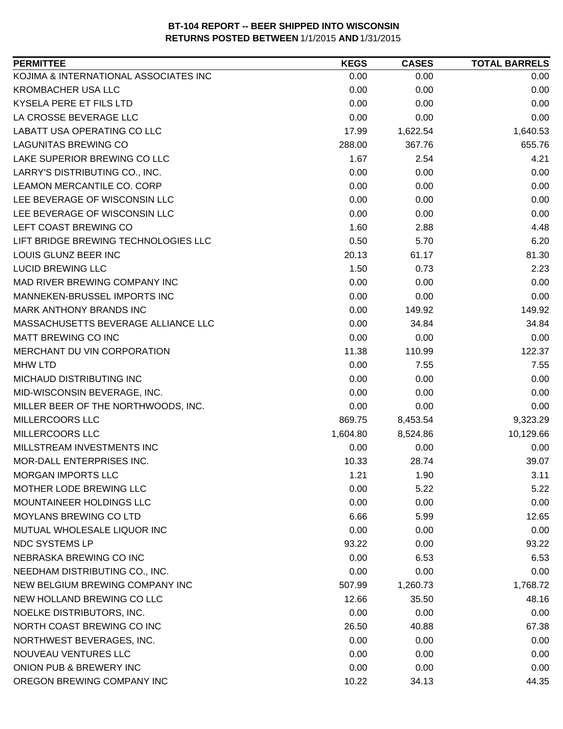| <b>PERMITTEE</b>                      | <b>KEGS</b> | <b>CASES</b> | <b>TOTAL BARRELS</b> |
|---------------------------------------|-------------|--------------|----------------------|
| KOJIMA & INTERNATIONAL ASSOCIATES INC | 0.00        | 0.00         | 0.00                 |
| <b>KROMBACHER USA LLC</b>             | 0.00        | 0.00         | 0.00                 |
| KYSELA PERE ET FILS LTD               | 0.00        | 0.00         | 0.00                 |
| LA CROSSE BEVERAGE LLC                | 0.00        | 0.00         | 0.00                 |
| LABATT USA OPERATING CO LLC           | 17.99       | 1,622.54     | 1,640.53             |
| <b>LAGUNITAS BREWING CO</b>           | 288.00      | 367.76       | 655.76               |
| LAKE SUPERIOR BREWING CO LLC          | 1.67        | 2.54         | 4.21                 |
| LARRY'S DISTRIBUTING CO., INC.        | 0.00        | 0.00         | 0.00                 |
| LEAMON MERCANTILE CO. CORP            | 0.00        | 0.00         | 0.00                 |
| LEE BEVERAGE OF WISCONSIN LLC         | 0.00        | 0.00         | 0.00                 |
| LEE BEVERAGE OF WISCONSIN LLC         | 0.00        | 0.00         | 0.00                 |
| LEFT COAST BREWING CO                 | 1.60        | 2.88         | 4.48                 |
| LIFT BRIDGE BREWING TECHNOLOGIES LLC  | 0.50        | 5.70         | 6.20                 |
| LOUIS GLUNZ BEER INC                  | 20.13       | 61.17        | 81.30                |
| <b>LUCID BREWING LLC</b>              | 1.50        | 0.73         | 2.23                 |
| MAD RIVER BREWING COMPANY INC         | 0.00        | 0.00         | 0.00                 |
| MANNEKEN-BRUSSEL IMPORTS INC          | 0.00        | 0.00         | 0.00                 |
| MARK ANTHONY BRANDS INC               | 0.00        | 149.92       | 149.92               |
| MASSACHUSETTS BEVERAGE ALLIANCE LLC   | 0.00        | 34.84        | 34.84                |
| <b>MATT BREWING CO INC</b>            | 0.00        | 0.00         | 0.00                 |
| MERCHANT DU VIN CORPORATION           | 11.38       | 110.99       | 122.37               |
| <b>MHW LTD</b>                        | 0.00        | 7.55         | 7.55                 |
| MICHAUD DISTRIBUTING INC              | 0.00        | 0.00         | 0.00                 |
| MID-WISCONSIN BEVERAGE, INC.          | 0.00        | 0.00         | 0.00                 |
| MILLER BEER OF THE NORTHWOODS, INC.   | 0.00        | 0.00         | 0.00                 |
| MILLERCOORS LLC                       | 869.75      | 8,453.54     | 9,323.29             |
| MILLERCOORS LLC                       | 1,604.80    | 8,524.86     | 10,129.66            |
| MILLSTREAM INVESTMENTS INC            | 0.00        | 0.00         | 0.00                 |
| MOR-DALL ENTERPRISES INC.             | 10.33       | 28.74        | 39.07                |
| <b>MORGAN IMPORTS LLC</b>             | 1.21        | 1.90         | 3.11                 |
| MOTHER LODE BREWING LLC               | 0.00        | 5.22         | 5.22                 |
| MOUNTAINEER HOLDINGS LLC              | 0.00        | 0.00         | 0.00                 |
| <b>MOYLANS BREWING CO LTD</b>         | 6.66        | 5.99         | 12.65                |
| MUTUAL WHOLESALE LIQUOR INC           | 0.00        | 0.00         | 0.00                 |
| <b>NDC SYSTEMS LP</b>                 | 93.22       | 0.00         | 93.22                |
| NEBRASKA BREWING CO INC               | 0.00        | 6.53         | 6.53                 |
| NEEDHAM DISTRIBUTING CO., INC.        | 0.00        | 0.00         | 0.00                 |
| NEW BELGIUM BREWING COMPANY INC       | 507.99      | 1,260.73     | 1,768.72             |
| NEW HOLLAND BREWING CO LLC            | 12.66       | 35.50        | 48.16                |
| NOELKE DISTRIBUTORS, INC.             | 0.00        | 0.00         | 0.00                 |
| NORTH COAST BREWING CO INC            |             |              |                      |
|                                       | 26.50       | 40.88        | 67.38                |
| NORTHWEST BEVERAGES, INC.             | 0.00        | 0.00         | 0.00                 |
| NOUVEAU VENTURES LLC                  | 0.00        | 0.00         | 0.00                 |
| ONION PUB & BREWERY INC               | 0.00        | 0.00         | 0.00                 |
| OREGON BREWING COMPANY INC            | 10.22       | 34.13        | 44.35                |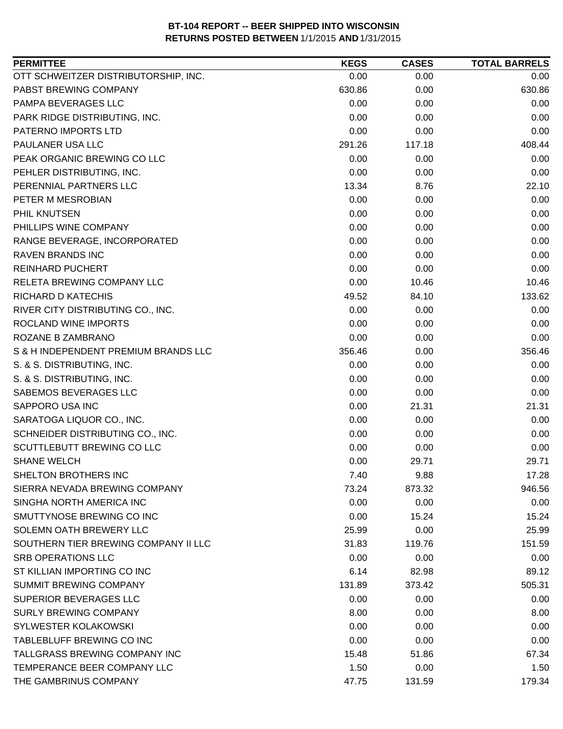| <b>PERMITTEE</b>                     | <b>KEGS</b> | <b>CASES</b> | <b>TOTAL BARRELS</b> |
|--------------------------------------|-------------|--------------|----------------------|
| OTT SCHWEITZER DISTRIBUTORSHIP, INC. | 0.00        | 0.00         | 0.00                 |
| PABST BREWING COMPANY                | 630.86      | 0.00         | 630.86               |
| PAMPA BEVERAGES LLC                  | 0.00        | 0.00         | 0.00                 |
| PARK RIDGE DISTRIBUTING, INC.        | 0.00        | 0.00         | 0.00                 |
| PATERNO IMPORTS LTD                  | 0.00        | 0.00         | 0.00                 |
| PAULANER USA LLC                     | 291.26      | 117.18       | 408.44               |
| PEAK ORGANIC BREWING CO LLC          | 0.00        | 0.00         | 0.00                 |
| PEHLER DISTRIBUTING, INC.            | 0.00        | 0.00         | 0.00                 |
| PERENNIAL PARTNERS LLC               | 13.34       | 8.76         | 22.10                |
| PETER M MESROBIAN                    | 0.00        | 0.00         | 0.00                 |
| PHIL KNUTSEN                         | 0.00        | 0.00         | 0.00                 |
| PHILLIPS WINE COMPANY                | 0.00        | 0.00         | 0.00                 |
| RANGE BEVERAGE, INCORPORATED         | 0.00        | 0.00         | 0.00                 |
| <b>RAVEN BRANDS INC</b>              | 0.00        | 0.00         | 0.00                 |
| <b>REINHARD PUCHERT</b>              | 0.00        | 0.00         | 0.00                 |
| RELETA BREWING COMPANY LLC           | 0.00        | 10.46        | 10.46                |
| RICHARD D KATECHIS                   | 49.52       | 84.10        | 133.62               |
| RIVER CITY DISTRIBUTING CO., INC.    | 0.00        | 0.00         | 0.00                 |
| ROCLAND WINE IMPORTS                 | 0.00        | 0.00         | 0.00                 |
| ROZANE B ZAMBRANO                    | 0.00        | 0.00         | 0.00                 |
| S & H INDEPENDENT PREMIUM BRANDS LLC | 356.46      | 0.00         | 356.46               |
| S. & S. DISTRIBUTING, INC.           | 0.00        | 0.00         | 0.00                 |
| S. & S. DISTRIBUTING, INC.           | 0.00        | 0.00         | 0.00                 |
| SABEMOS BEVERAGES LLC                | 0.00        | 0.00         | 0.00                 |
| SAPPORO USA INC                      | 0.00        | 21.31        | 21.31                |
| SARATOGA LIQUOR CO., INC.            | 0.00        | 0.00         | 0.00                 |
| SCHNEIDER DISTRIBUTING CO., INC.     | 0.00        | 0.00         | 0.00                 |
| SCUTTLEBUTT BREWING CO LLC           | 0.00        | 0.00         | 0.00                 |
| <b>SHANE WELCH</b>                   | 0.00        | 29.71        | 29.71                |
| SHELTON BROTHERS INC                 | 7.40        | 9.88         | 17.28                |
| SIERRA NEVADA BREWING COMPANY        | 73.24       | 873.32       | 946.56               |
| SINGHA NORTH AMERICA INC             | 0.00        | 0.00         | 0.00                 |
| SMUTTYNOSE BREWING CO INC            | 0.00        | 15.24        | 15.24                |
| SOLEMN OATH BREWERY LLC              | 25.99       | 0.00         | 25.99                |
| SOUTHERN TIER BREWING COMPANY II LLC | 31.83       | 119.76       | 151.59               |
| <b>SRB OPERATIONS LLC</b>            | 0.00        | 0.00         | 0.00                 |
| ST KILLIAN IMPORTING CO INC          | 6.14        | 82.98        | 89.12                |
| <b>SUMMIT BREWING COMPANY</b>        | 131.89      | 373.42       | 505.31               |
| SUPERIOR BEVERAGES LLC               | 0.00        | 0.00         | 0.00                 |
| <b>SURLY BREWING COMPANY</b>         | 8.00        | 0.00         | 8.00                 |
| SYLWESTER KOLAKOWSKI                 | 0.00        | 0.00         | 0.00                 |
| TABLEBLUFF BREWING CO INC            | 0.00        | 0.00         | 0.00                 |
| TALLGRASS BREWING COMPANY INC        | 15.48       | 51.86        | 67.34                |
| TEMPERANCE BEER COMPANY LLC          | 1.50        | 0.00         | 1.50                 |
| THE GAMBRINUS COMPANY                | 47.75       | 131.59       | 179.34               |